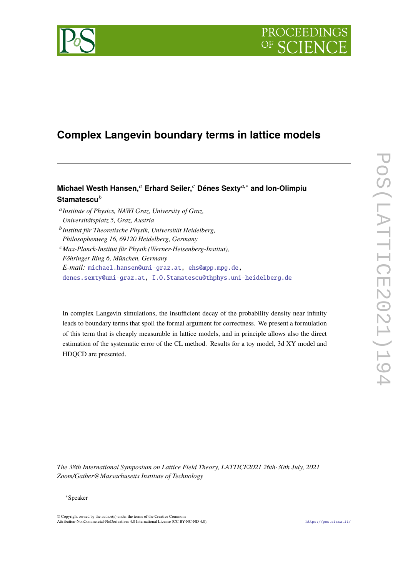

# **Complex Langevin boundary terms in lattice models**

# **Michael Westh Hansen,***<sup>a</sup>* **Erhard Seiler,***<sup>c</sup>* **Dénes Sexty***a*,<sup>∗</sup> **and Ion-Olimpiu Stamatescu***<sup>b</sup>*

a *Institute of Physics, NAWI Graz, University of Graz, Universitätsplatz 5, Graz, Austria* b *Institut für Theoretische Physik, Universität Heidelberg, Philosophenweg 16, 69120 Heidelberg, Germany* <sup>c</sup>*Max-Planck-Institut für Physik (Werner-Heisenberg-Institut), Föhringer Ring 6, München, Germany E-mail:* [michael.hansen@uni-graz.at,](mailto:michael.hansen@uni-graz.at) [ehs@mpp.mpg.de,](mailto:ehs@mpp.mpg.de) [denes.sexty@uni-graz.at,](mailto:denes.sexty@uni-graz.at) [I.O.Stamatescu@thphys.uni-heidelberg.de](mailto:I.O.Stamatescu@thphys.uni-heidelberg.de)

In complex Langevin simulations, the insufficient decay of the probability density near infinity leads to boundary terms that spoil the formal argument for correctness. We present a formulation of this term that is cheaply measurable in lattice models, and in principle allows also the direct estimation of the systematic error of the CL method. Results for a toy model, 3d XY model and HDQCD are presented.

*The 38th International Symposium on Lattice Field Theory, LATTICE2021 26th-30th July, 2021 Zoom/Gather@Massachusetts Institute of Technology*

<sup>∗</sup>Speaker

<sup>©</sup> Copyright owned by the author(s) under the terms of the Creative Commons Attribution-NonCommercial-NoDerivatives 4.0 International License (CC BY-NC-ND 4.0). <https://pos.sissa.it/>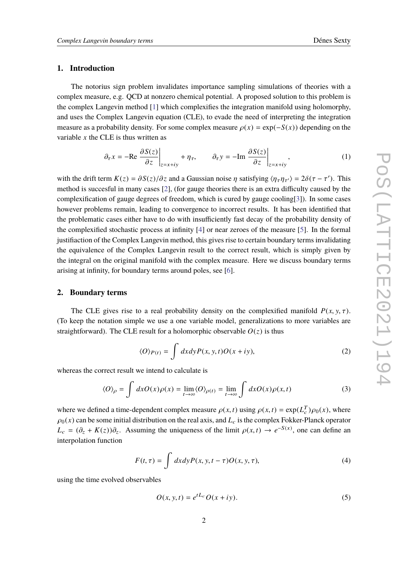# **1. Introduction**

The notorius sign problem invalidates importance sampling simulations of theories with a complex measure, e.g. QCD at nonzero chemical potential. A proposed solution to this problem is the complex Langevin method [\[1\]](#page-5-0) which complexifies the integration manifold using holomorphy, and uses the Complex Langevin equation (CLE), to evade the need of interpreting the integration measure as a probability density. For some complex measure  $\rho(x) = \exp(-S(x))$  depending on the variable *x* the CLE is thus written as

$$
\partial_{\tau} x = -\text{Re} \left. \frac{\partial S(z)}{\partial z} \right|_{z=x+iy} + \eta_{\tau}, \qquad \partial_{\tau} y = -\text{Im} \left. \frac{\partial S(z)}{\partial z} \right|_{z=x+iy}, \tag{1}
$$

with the drift term  $K(z) = \frac{\partial S(z)}{\partial z}$  and a Gaussian noise  $\eta$  satisfying  $\langle \eta_{\tau} \eta_{\tau'} \rangle = 2\delta(\tau - \tau')$ . This method is succesful in many cases [\[2\]](#page-5-1), (for gauge theories there is an extra difficulty caused by the complexification of gauge degrees of freedom, which is cured by gauge cooling[\[3\]](#page-6-0)). In some cases however problems remain, leading to convergence to incorrect results. It has been identified that the problematic cases either have to do with insufficiently fast decay of the probability density of the complexified stochastic process at infinity [\[4\]](#page-6-1) or near zeroes of the measure [\[5\]](#page-6-2). In the formal justifiaction of the Complex Langevin method, this gives rise to certain boundary terms invalidating the equivalence of the Complex Langevin result to the correct result, which is simply given by the integral on the original manifold with the complex measure. Here we discuss boundary terms arising at infinity, for boundary terms around poles, see [\[6\]](#page-6-3).

### **2. Boundary terms**

The CLE gives rise to a real probability density on the complexified manifold  $P(x, y, \tau)$ . (To keep the notation simple we use a one variable model, generalizations to more variables are straightforward). The CLE result for a holomorphic observable  $O(z)$  is thus

$$
\langle O \rangle_{P(t)} = \int dx dy P(x, y, t) O(x + iy), \tag{2}
$$

whereas the correct result we intend to calculate is

$$
\langle O \rangle_{\rho} = \int dx O(x) \rho(x) = \lim_{t \to \infty} \langle O \rangle_{\rho(t)} = \lim_{t \to \infty} \int dx O(x) \rho(x, t)
$$
 (3)

where we defined a time-dependent complex measure  $\rho(x, t)$  using  $\rho(x, t) = \exp(L_c^T) \rho_0(x)$ , where  $\rho_0(x)$  can be some initial distribution on the real axis, and  $L_c$  is the complex Fokker-Planck operator  $L_c = (\partial_z + K(z))\partial_z$ . Assuming the uniqueness of the limit  $\rho(x, t) \to e^{-S(x)}$ , one can define an internal stinction interpolation function

$$
F(t,\tau) = \int dx dy P(x, y, t-\tau) O(x, y, \tau), \tag{4}
$$

using the time evolved observables

$$
O(x, y, t) = e^{tL_c} O(x + iy).
$$
 (5)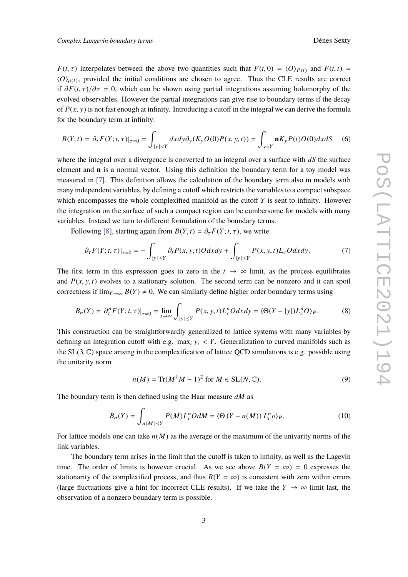*F*(*t*,  $\tau$ ) interpolates between the above two quantities such that  $F(t, 0) = \langle O \rangle_{P(t)}$  and  $F(t, t) =$  $\langle O \rangle_{\rho(t)}$ , provided the initial conditions are chosen to agree. Thus the CLE results are correct if  $\partial F(t, \tau)/\partial \tau = 0$ , which can be shown using partial integrations assuming holomorphy of the evolved observables. However the partial integrations can give rise to boundary terms if the decay of  $P(x, y)$  is not fast enough at infinity. Introducing a cutoff in the integral we can derive the formula for the boundary term at infinity:

$$
B(Y,t) = \partial_{\tau} F(Y;t,\tau)|_{\tau=0} = \int_{|y|
$$

where the integral over a divergence is converted to an integral over a surface with *dS* the surface element and **n** is a normal vector. Using this definition the boundary term for a toy model was measured in [\[7\]](#page-6-4). This definition allows the calculation of the boundary term also in models with many independent variables, by defining a cutoff which restricts the variables to a compact subspace which encompasses the whole complexified manifold as the cutoff *Y* is sent to infinity. However the integration on the surface of such a compact region can be cumbersome for models with many variables. Instead we turn to different formulation of the boundary terms.

Following [\[8\]](#page-6-5), starting again from  $B(Y, t) = \partial_{\tau} F(Y; t, \tau)$ , we write

$$
\partial_{\tau} F(Y;t,\tau)|_{\tau=0} = -\int_{|y| \le Y} \partial_t P(x,y,t)O dx dy + \int_{|y| \le Y} P(x,y,t)L_cO dx dy. \tag{7}
$$

The first term in this expression goes to zero in the  $t \to \infty$  limit, as the process equilibrates and  $P(x, y, t)$  evolves to a stationary solution. The second term can be nonzero and it can spoil correctness if  $\lim_{Y\to\infty} B(Y) \neq 0$ . We can similarly define higher order boundary terms using

<span id="page-2-0"></span>
$$
B_n(Y) = \partial_{\tau}^n F(Y; t, \tau)|_{\tau=0} = \lim_{t \to \infty} \int_{|y| \le Y} P(x, y, t) L_c^n O dx dy = \langle \Theta(Y - |y|) L_c^n O \rangle_P. \tag{8}
$$

This construction can be straightforwardly generalized to lattice systems with many variables by defining an integration cutoff with e.g. max<sub>i</sub>  $y_i$  < *Y*. Generalization to curved manifolds such as the  $SL(3, \mathbb{C})$  space arising in the complexification of lattice QCD simulations is e.g. possible using the unitarity norm

$$
n(M) = \text{Tr}(M^{\dagger}M - 1)^2 \text{ for } M \in \text{SL}(N, \mathbb{C}).
$$
 (9)

The boundary term is then defined using the Haar measure *dM* as

$$
B_n(Y) = \int_{n(M) < Y} P(M) L_c^n O \, dM = \langle \Theta \left( Y - n(M) \right) L_c^n o \rangle_P. \tag{10}
$$

For lattice models one can take *n*(*M*) as the average or the maximum of the univarity norms of the link variables.

The boundary term arises in the limit that the cutoff is taken to infinity, as well as the Lagevin time. The order of limits is however crucial. As we see above  $B(Y = \infty) = 0$  expresses the stationarity of the complexified process, and thus  $B(Y = \infty)$  is consistent with zero within errors (large fluctuations give a hint for incorrect CLE results). If we take the  $Y \to \infty$  limit last, the observation of a nonzero boundary term is possible.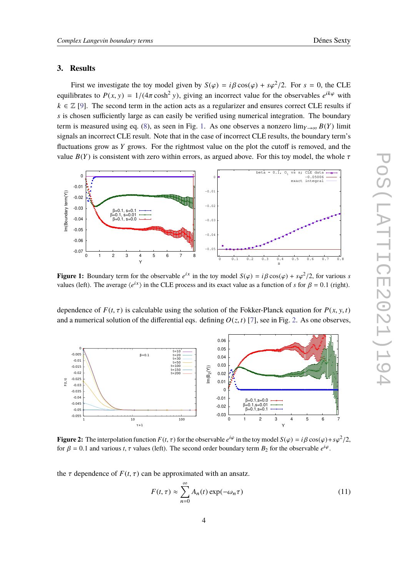# **3. Results**

First we investigate the toy model given by  $S(\varphi) = i\beta \cos(\varphi) + s\varphi^2/2$ . For  $s = 0$ , the CLE equilibrates to  $P(x, y) = 1/(4\pi \cosh^2 y)$ , giving an incorrect value for the observables  $e^{ik\varphi}$  with  $k \in \mathbb{Z}$  [\[9\]](#page-6-6). The second term in the action acts as a regularizer and ensures correct CLE results if *s* is chosen sufficiently large as can easily be verified using numerical integration. The boundary term is measured using eq. [\(8\)](#page-2-0), as seen in Fig. [1.](#page-3-0) As one observes a nonzero  $\lim_{Y\to\infty} B(Y)$  limit signals an incorrect CLE result. Note that in the case of incorrect CLE results, the boundary term's fluctuations grow as *Y* grows. For the rightmost value on the plot the cutoff is removed, and the value  $B(Y)$  is consistent with zero within errors, as argued above. For this toy model, the whole  $\tau$ 

<span id="page-3-0"></span>

**Figure 1:** Boundary term for the observable  $e^{ix}$  in the toy model  $S(\varphi) = i\beta \cos(\varphi) + s\varphi^2/2$ , for various *s* values (left). The suggest (e(X) in the CLE process and its synctualize as a function of a for  $\theta = 0.1$  (ri values (left). The average  $\langle e^{ix} \rangle$  in the CLE process and its exact value as a function of *s* for  $\beta = 0.1$  (right).

dependence of  $F(t, \tau)$  is calculable using the solution of the Fokker-Planck equation for  $P(x, y, t)$ and a numerical solution of the differential eqs. defining  $O(z, t)$  [\[7\]](#page-6-4), see in Fig. [2.](#page-3-1) As one observes,

<span id="page-3-1"></span>

**Figure 2:** The interpolation function  $F(t, \tau)$  for the observable  $e^{i\varphi}$  in the toy model  $S(\varphi) = i\beta \cos(\varphi) + s\varphi^2/2$ ,<br>for  $\theta = 0.1$  and various  $t, \tau$  values (left). The second order boundary term  $P$ , for the observa for  $\beta = 0.1$  and various *t*,  $\tau$  values (left). The second order boundary term  $B_2$  for the observable  $e^{i\varphi}$ .

the  $\tau$  dependence of  $F(t, \tau)$  can be approximated with an ansatz.

$$
F(t,\tau) \approx \sum_{n=0}^{\infty} A_n(t) \exp(-\omega_n \tau)
$$
 (11)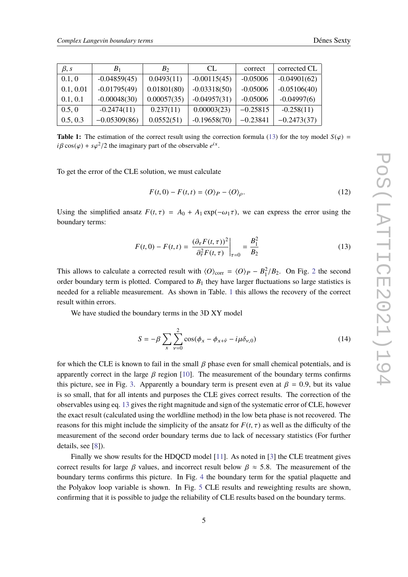<span id="page-4-1"></span>

| $\beta$ , s | B <sub>1</sub> | B <sub>2</sub> | CL.            | correct    | corrected CL   |
|-------------|----------------|----------------|----------------|------------|----------------|
| 0.1, 0      | $-0.04859(45)$ | 0.0493(11)     | $-0.00115(45)$ | $-0.05006$ | $-0.04901(62)$ |
| 0.1, 0.01   | $-0.01795(49)$ | 0.01801(80)    | $-0.03318(50)$ | $-0.05006$ | $-0.05106(40)$ |
| 0.1, 0.1    | $-0.00048(30)$ | 0.00057(35)    | $-0.04957(31)$ | $-0.05006$ | $-0.04997(6)$  |
| 0.5, 0      | $-0.2474(11)$  | 0.237(11)      | 0.00003(23)    | $-0.25815$ | $-0.258(11)$   |
| 0.5, 0.3    | $-0.05309(86)$ | 0.0552(51)     | $-0.19658(70)$ | $-0.23841$ | $-0.2473(37)$  |

**Table 1:** The estimation of the correct result using the correction formula [\(13\)](#page-4-0) for the toy model  $S(\varphi)$  =  $i\beta \cos(\varphi) + s\varphi^2/2$  the imaginary part of the observable  $e^{ix}$ .

To get the error of the CLE solution, we must calculate

$$
F(t,0) - F(t,t) = \langle O \rangle_P - \langle O \rangle_\rho. \tag{12}
$$

Using the simplified ansatz  $F(t, \tau) = A_0 + A_1 \exp(-\omega_1 \tau)$ , we can express the error using the boundary terms:

<span id="page-4-0"></span>
$$
F(t,0) - F(t,t) = \left. \frac{(\partial_{\tau} F(t,\tau))^2}{\partial_{\tau}^2 F(t,\tau)} \right|_{\tau=0} = \frac{B_1^2}{B_2}
$$
 (13)

This allows to calculate a corrected result with  $\langle O \rangle_{\text{corr}} = \langle O \rangle_P - B_1^2/B_2$  $\langle O \rangle_{\text{corr}} = \langle O \rangle_P - B_1^2/B_2$  $\langle O \rangle_{\text{corr}} = \langle O \rangle_P - B_1^2/B_2$ . On Fig. 2 the second<br>carden hour demu term is plotted. Compared to *B*, they have larger fluctuations as large statistics is order boundary term is plotted. Compared to  $B_1$  they have larger fluctuations so large statistics is needed for a reliable measurement. As shown in Table. [1](#page-4-1) this allows the recovery of the correct result within errors.

We have studied the boundary terms in the 3D XY model

$$
S = -\beta \sum_{x} \sum_{\nu=0}^{2} \cos(\phi_x - \phi_{x+\hat{\nu}} - i\mu \delta_{\nu,0})
$$
 (14)

for which the CLE is known to fail in the small  $\beta$  phase even for small chemical potentials, and is apparently correct in the large  $\beta$  region [\[10\]](#page-6-7). The measurement of the boundary terms confirms this picture, see in Fig. [3.](#page-5-2) Apparently a boundary term is present even at  $\beta = 0.9$ , but its value is so small, that for all intents and purposes the CLE gives correct results. The correction of the observables using eq. [13](#page-4-0) gives the right magnitude and sign of the systematic error of CLE, however the exact result (calculated using the worldline method) in the low beta phase is not recovered. The reasons for this might include the simplicity of the ansatz for  $F(t, \tau)$  as well as the difficulty of the measurement of the second order boundary terms due to lack of necessary statistics (For further details, see [\[8\]](#page-6-5)).

Finally we show results for the HDQCD model [\[11\]](#page-6-8). As noted in [\[3\]](#page-6-0) the CLE treatment gives correct results for large β values, and incorrect result below  $\beta \approx 5.8$ . The measurement of the boundary terms confirms this picture. In Fig. [4](#page-5-3) the boundary term for the spatial plaquette and the Polyakov loop variable is shown. In Fig. [5](#page-6-9) CLE results and reweighting results are shown, confirming that it is possible to judge the reliability of CLE results based on the boundary terms.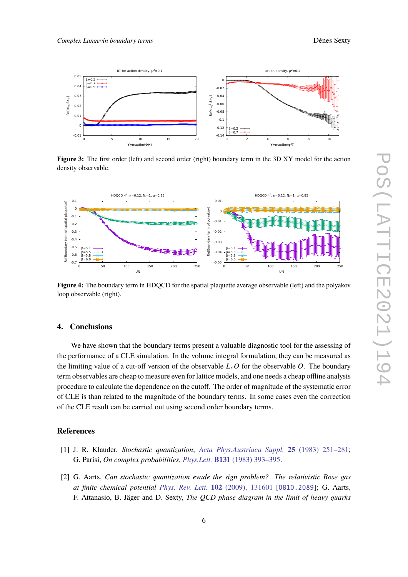

<span id="page-5-2"></span>

**Figure 3:** The first order (left) and second order (right) boundary term in the 3D XY model for the action density observable.

<span id="page-5-3"></span>

**Figure 4:** The boundary term in HDQCD for the spatial plaquette average observable (left) and the polyakov loop observable (right).

# **4. Conclusions**

We have shown that the boundary terms present a valuable diagnostic tool for the assessing of the performance of a CLE simulation. In the volume integral formulation, they can be measured as the limiting value of a cut-off version of the observable  $L_cO$  for the observable  $O$ . The boundary term observables are cheap to measure even for lattice models, and one needs a cheap offline analysis procedure to calculate the dependence on the cutoff. The order of magnitude of the systematic error of CLE is than related to the magnitude of the boundary terms. In some cases even the correction of the CLE result can be carried out using second order boundary terms.

### **References**

- <span id="page-5-0"></span>[1] J. R. Klauder, *Stochastic quantization*, *[Acta Phys.Austriaca Suppl.](http://dx.doi.org/10.1007/978-3-7091-7651-1_8)* **25** (1983) 251–281; G. Parisi, *On complex probabilities*, *Phys.Lett.* **B131** [\(1983\) 393–395.](http://dx.doi.org/10.1016/0370-2693(83)90525-7)
- <span id="page-5-1"></span>[2] G. Aarts, *Can stochastic quantization evade the sign problem? The relativistic Bose gas at finite chemical potential [Phys. Rev. Lett.](http://dx.doi.org/10.1103/PhysRevLett.102.131601)* **102** (2009), 131601 [[0810.2089](https://arXiv.org/abs/0810.2089)]; G. Aarts, F. Attanasio, B. Jäger and D. Sexty, *The QCD phase diagram in the limit of heavy quarks*